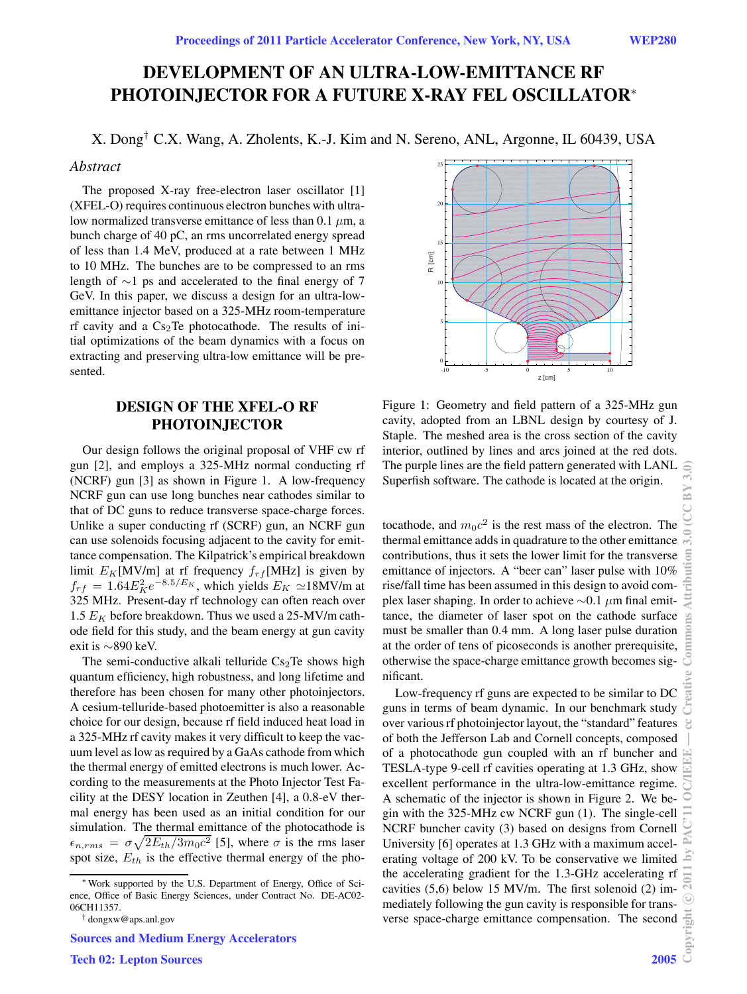# **DEVELOPMENT OF AN ULTRA-LOW-EMITTANCE RF PHOTOINJECTOR FOR A FUTURE X-RAY FEL OSCILLATOR**<sup>∗</sup>

X. Dong† C.X. Wang, A. Zholents, K.-J. Kim and N. Sereno, ANL, Argonne, IL 60439, USA

#### *Abstract*

The proposed X-ray free-electron laser oscillator [1] (XFEL-O) requires continuous electron bunches with ultralow normalized transverse emittance of less than 0.1  $\mu$ m, a bunch charge of 40 pC, an rms uncorrelated energy spread of less than 1.4 MeV, produced at a rate between 1 MHz to 10 MHz. The bunches are to be compressed to an rms length of ∼1 ps and accelerated to the final energy of 7 GeV. In this paper, we discuss a design for an ultra-lowemittance injector based on a 325-MHz room-temperature rf cavity and a  $Cs<sub>2</sub>Te$  photocathode. The results of initial optimizations of the beam dynamics with a focus on extracting and preserving ultra-low emittance will be presented.

# **DESIGN OF THE XFEL-O RF PHOTOINJECTOR**

Our design follows the original proposal of VHF cw rf gun [2], and employs a 325-MHz normal conducting rf (NCRF) gun [3] as shown in Figure 1. A low-frequency NCRF gun can use long bunches near cathodes similar to that of DC guns to reduce transverse space-charge forces. Unlike a super conducting rf (SCRF) gun, an NCRF gun can use solenoids focusing adjacent to the cavity for emittance compensation. The Kilpatrick's empirical breakdown limit  $E_K$ [MV/m] at rf frequency  $f_{rf}$ [MHz] is given by  $f_{rf} = 1.64 E_K^2 e^{-8.5/E_K}$ , which yields  $E_K \simeq 18$ MV/m at 325 MHz. Present-day rf technology can often reach over 1.5  $E_K$  before breakdown. Thus we used a 25-MV/m cathode field for this study, and the beam energy at gun cavity exit is ∼890 keV.

The semi-conductive alkali telluride  $Cs<sub>2</sub>Te$  shows high quantum efficiency, high robustness, and long lifetime and therefore has been chosen for many other photoinjectors. A cesium-telluride-based photoemitter is also a reasonable choice for our design, because rf field induced heat load in a 325-MHz rf cavity makes it very difficult to keep the vacuum level as low as required by a GaAs cathode from which the thermal energy of emitted electrons is much lower. According to the measurements at the Photo Injector Test Facility at the DESY location in Zeuthen [4], a 0.8-eV thermal energy has been used as an initial condition for our simulation. The thermal emittance of the photocathode is  $\epsilon_{n,rms} = \sigma \sqrt{2E_{th}/3m_0c^2}$  [5], where  $\sigma$  is the rms laser spot size,  $E_{th}$  is the effective thermal energy of the pho-



Figure 1: Geometry and field pattern of a 325-MHz gun cavity, adopted from an LBNL design by courtesy of J. Staple. The meshed area is the cross section of the cavity interior, outlined by lines and arcs joined at the red dots. The purple lines are the field pattern generated with LANL Superfish software. The cathode is located at the origin.

tocathode, and  $m_0c^2$  is the rest mass of the electron. The thermal emittance adds in quadrature to the other emittance contributions, thus it sets the lower limit for the transverse emittance of injectors. A "beer can" laser pulse with 10% rise/fall time has been assumed in this design to avoid complex laser shaping. In order to achieve  $\sim$ 0.1  $\mu$ m final emittance, the diameter of laser spot on the cathode surface must be smaller than 0.4 mm. A long laser pulse duration at the order of tens of picoseconds is another prerequisite, otherwise the space-charge emittance growth becomes significant.

Low-frequency rf guns are expected to be similar to DC guns in terms of beam dynamic. In our benchmark study over various rf photoinjector layout, the "standard" features of both the Jefferson Lab and Cornell concepts, composed of a photocathode gun coupled with an rf buncher and TESLA-type 9-cell rf cavities operating at 1.3 GHz, show excellent performance in the ultra-low-emittance regime. A schematic of the injector is shown in Figure 2. We begin with the 325-MHz cw NCRF gun (1). The single-cell NCRF buncher cavity (3) based on designs from Cornell University [6] operates at 1.3 GHz with a maximum accelerating voltage of 200 kV. To be conservative we limited the accelerating gradient for the 1.3-GHz accelerating rf cavities (5,6) below 15 MV/m. The first solenoid (2) immediately following the gun cavity is responsible for transverse space-charge emittance compensation. The second

<sup>∗</sup>Work supported by the U.S. Department of Energy, Office of Science, Office of Basic Energy Sciences, under Contract No. DE-AC02- 06CH11357.

<sup>†</sup> dongxw@aps.anl.gov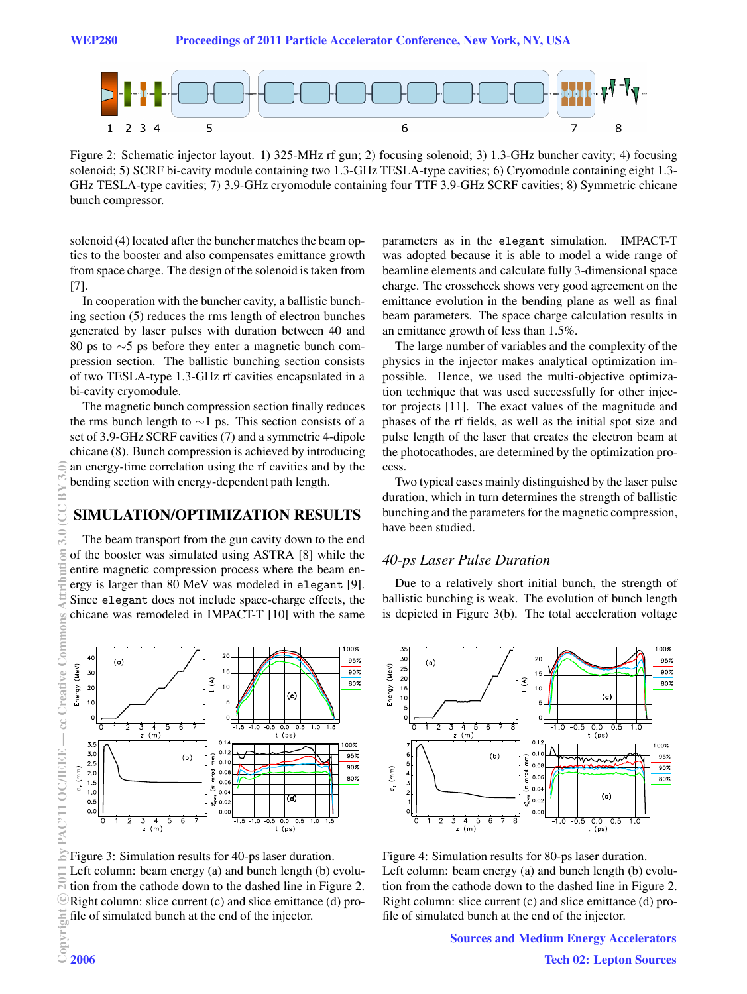WEP280 Proceedings of 2011 Particle Accelerator Conference, New York, NY, USA



Figure 2: Schematic injector layout. 1) 325-MHz rf gun; 2) focusing solenoid; 3) 1.3-GHz buncher cavity; 4) focusing solenoid; 5) SCRF bi-cavity module containing two 1.3-GHz TESLA-type cavities; 6) Cryomodule containing eight 1.3- GHz TESLA-type cavities; 7) 3.9-GHz cryomodule containing four TTF 3.9-GHz SCRF cavities; 8) Symmetric chicane bunch compressor.

solenoid (4) located after the buncher matches the beam optics to the booster and also compensates emittance growth from space charge. The design of the solenoid is taken from [7].

In cooperation with the buncher cavity, a ballistic bunching section (5) reduces the rms length of electron bunches generated by laser pulses with duration between 40 and 80 ps to ∼5 ps before they enter a magnetic bunch compression section. The ballistic bunching section consists of two TESLA-type 1.3-GHz rf cavities encapsulated in a bi-cavity cryomodule.

The magnetic bunch compression section finally reduces the rms bunch length to  $\sim$ 1 ps. This section consists of a set of 3.9-GHz SCRF cavities (7) and a symmetric 4-dipole chicane (8). Bunch compression is achieved by introducing an energy-time correlation using the rf cavities and by the bending section with energy-dependent path length.

## **SIMULATION/OPTIMIZATION RESULTS**

The beam transport from the gun cavity down to the end of the booster was simulated using ASTRA [8] while the entire magnetic compression process where the beam energy is larger than 80 MeV was modeled in elegant [9]. Since elegant does not include space-charge effects, the chicane was remodeled in IMPACT-T [10] with the same



Figure 3: Simulation results for 40-ps laser duration. Left column: beam energy (a) and bunch length (b) evolution from the cathode down to the dashed line in Figure 2. Right column: slice current (c) and slice emittance (d) profile of simulated bunch at the end of the injector.

parameters as in the elegant simulation. IMPACT-T was adopted because it is able to model a wide range of beamline elements and calculate fully 3-dimensional space charge. The crosscheck shows very good agreement on the emittance evolution in the bending plane as well as final beam parameters. The space charge calculation results in an emittance growth of less than 1.5%.

The large number of variables and the complexity of the physics in the injector makes analytical optimization impossible. Hence, we used the multi-objective optimization technique that was used successfully for other injector projects [11]. The exact values of the magnitude and phases of the rf fields, as well as the initial spot size and pulse length of the laser that creates the electron beam at the photocathodes, are determined by the optimization process.

Two typical cases mainly distinguished by the laser pulse duration, which in turn determines the strength of ballistic bunching and the parameters for the magnetic compression, have been studied.

## *40-ps Laser Pulse Duration*

Due to a relatively short initial bunch, the strength of ballistic bunching is weak. The evolution of bunch length is depicted in Figure 3(b). The total acceleration voltage



Figure 4: Simulation results for 80-ps laser duration. Left column: beam energy (a) and bunch length (b) evolution from the cathode down to the dashed line in Figure 2. Right column: slice current (c) and slice emittance (d) profile of simulated bunch at the end of the injector.

> Sources and Medium Energy Accelerators Tech 02: Lepton Sources